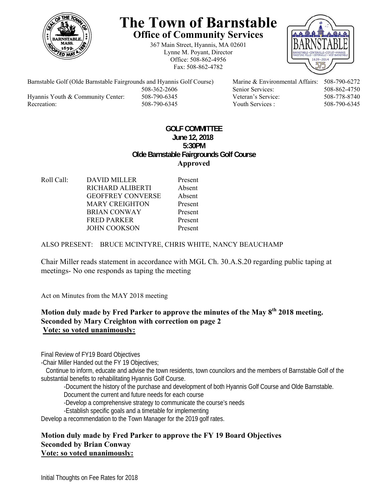

# **The Town of Barnstable Office of Community Services**

367 Main Street, Hyannis, MA 02601 Lynne M. Poyant, Director Office: 508-862-4956 Fax: 508-862-4782



Barnstable Golf (Olde Barnstable Fairgrounds and Hyannis Golf Course) Marine & Environmental Affairs: 508-790-6272 Hyannis Youth & Community Center: 508-790-6345 Veteran's Service: 508-778-8740 Recreation: 508-790-6345 Youth Services : 508-790-6345 S08-790-6345

508-362-2606 Senior Services: 508-862-4750

## **GOLF COMMITTEE June 12, 2018 5:30PM Olde Barnstable Fairgrounds Golf Course Approved**

Roll Call: DAVID MILLER Present RICHARD ALIBERTI Absent GEOFFREY CONVERSE Absent MARY CREIGHTON Present BRIAN CONWAY Present FRED PARKER Present JOHN COOKSON Present

ALSO PRESENT: BRUCE MCINTYRE, CHRIS WHITE, NANCY BEAUCHAMP

Chair Miller reads statement in accordance with MGL Ch. 30.A.S.20 regarding public taping at meetings- No one responds as taping the meeting

Act on Minutes from the MAY 2018 meeting

# Motion duly made by Fred Parker to approve the minutes of the May 8<sup>th</sup> 2018 meeting. **Seconded by Mary Creighton with correction on page 2 Vote: so voted unanimously:**

Final Review of FY19 Board Objectives

-Chair Miller Handed out the FY 19 Objectives;

 Continue to inform, educate and advise the town residents, town councilors and the members of Barnstable Golf of the substantial benefits to rehabilitating Hyannis Golf Course.

-Document the history of the purchase and development of both Hyannis Golf Course and Olde Barnstable.

Document the current and future needs for each course

-Develop a comprehensive strategy to communicate the course's needs

-Establish specific goals and a timetable for implementing

Develop a recommendation to the Town Manager for the 2019 golf rates.

#### **Motion duly made by Fred Parker to approve the FY 19 Board Objectives Seconded by Brian Conway Vote: so voted unanimously:**

Initial Thoughts on Fee Rates for 2018